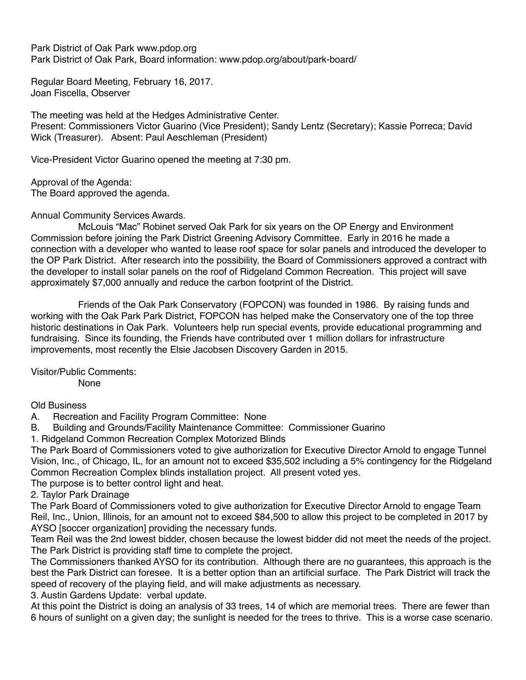Park District of Oak Park www.pdop.org Park District of Oak Park, Board information: www.pdop.org/about/park-board/

Regular Board Meeting, February 16, 2017. Joan Fiscella, Observer

The meeting was held at the Hedges Administrative Center. Present: Commissioners Victor Guarino (Vice President); Sandy Lentz (Secretary); Kassie Porreca; David Wick (Treasurer). Absent: Paul Aeschleman (President)

Vice-President Victor Guarino opened the meeting at 7:30 pm.

Approval of the Agenda: The Board approved the agenda.

Annual Community Services Awards.

 McLouis "Mac" Robinet served Oak Park for six years on the OP Energy and Environment Commission before joining the Park District Greening Advisory Committee. Early in 2016 he made a connection with a developer who wanted to lease roof space for solar panels and introduced the developer to the OP Park District. After research into the possibility, the Board of Commissioners approved a contract with the developer to install solar panels on the roof of Ridgeland Common Recreation. This project will save approximately \$7,000 annually and reduce the carbon footprint of the District.

 Friends of the Oak Park Conservatory (FOPCON) was founded in 1986. By raising funds and working with the Oak Park Park District, FOPCON has helped make the Conservatory one of the top three historic destinations in Oak Park. Volunteers help run special events, provide educational programming and fundraising. Since its founding, the Friends have contributed over 1 million dollars for infrastructure improvements, most recently the Elsie Jacobsen Discovery Garden in 2015.

Visitor/Public Comments: None

Old Business

A. Recreation and Facility Program Committee: None

B. Building and Grounds/Facility Maintenance Committee: Commissioner Guarino

1. Ridgeland Common Recreation Complex Motorized Blinds

The Park Board of Commissioners voted to give authorization for Executive Director Arnold to engage Tunnel Vision, Inc., of Chicago, IL, for an amount not to exceed \$35,502 including a 5% contingency for the Ridgeland Common Recreation Complex blinds installation project. All present voted yes.

The purpose is to better control light and heat.

2. Taylor Park Drainage

The Park Board of Commissioners voted to give authorization for Executive Director Arnold to engage Team Reil, Inc., Union, Illinois, for an amount not to exceed \$84,500 to allow this project to be completed in 2017 by AYSO [soccer organization] providing the necessary funds.

Team Reil was the 2nd lowest bidder, chosen because the lowest bidder did not meet the needs of the project. The Park District is providing staff time to complete the project.

The Commissioners thanked AYSO for its contribution. Although there are no guarantees, this approach is the best the Park District can foresee. It is a better option than an artificial surface. The Park District will track the speed of recovery of the playing field, and will make adjustments as necessary.

3. Austin Gardens Update: verbal update.

At this point the District is doing an analysis of 33 trees, 14 of which are memorial trees. There are fewer than 6 hours of sunlight on a given day; the sunlight is needed for the trees to thrive. This is a worse case scenario.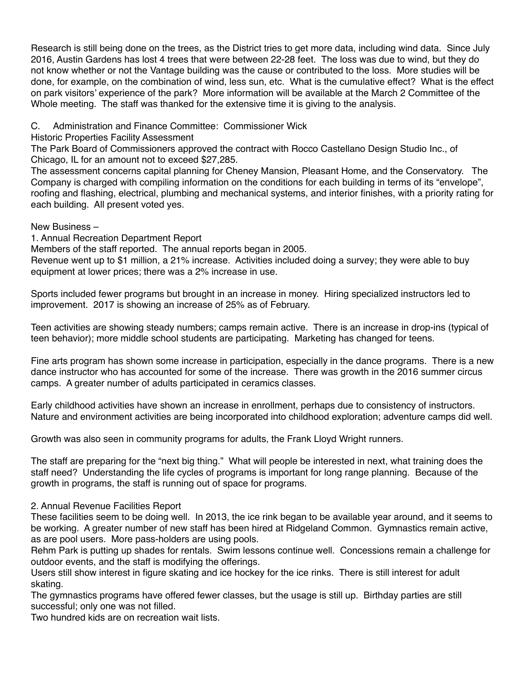Research is still being done on the trees, as the District tries to get more data, including wind data. Since July 2016, Austin Gardens has lost 4 trees that were between 22-28 feet. The loss was due to wind, but they do not know whether or not the Vantage building was the cause or contributed to the loss. More studies will be done, for example, on the combination of wind, less sun, etc. What is the cumulative effect? What is the effect on park visitors' experience of the park? More information will be available at the March 2 Committee of the Whole meeting. The staff was thanked for the extensive time it is giving to the analysis.

## C. Administration and Finance Committee: Commissioner Wick

Historic Properties Facility Assessment

The Park Board of Commissioners approved the contract with Rocco Castellano Design Studio Inc., of Chicago, IL for an amount not to exceed \$27,285.

The assessment concerns capital planning for Cheney Mansion, Pleasant Home, and the Conservatory. The Company is charged with compiling information on the conditions for each building in terms of its "envelope", roofing and flashing, electrical, plumbing and mechanical systems, and interior finishes, with a priority rating for each building. All present voted yes.

## New Business –

1. Annual Recreation Department Report

Members of the staff reported. The annual reports began in 2005.

Revenue went up to \$1 million, a 21% increase. Activities included doing a survey; they were able to buy equipment at lower prices; there was a 2% increase in use.

Sports included fewer programs but brought in an increase in money. Hiring specialized instructors led to improvement. 2017 is showing an increase of 25% as of February.

Teen activities are showing steady numbers; camps remain active. There is an increase in drop-ins (typical of teen behavior); more middle school students are participating. Marketing has changed for teens.

Fine arts program has shown some increase in participation, especially in the dance programs. There is a new dance instructor who has accounted for some of the increase. There was growth in the 2016 summer circus camps. A greater number of adults participated in ceramics classes.

Early childhood activities have shown an increase in enrollment, perhaps due to consistency of instructors. Nature and environment activities are being incorporated into childhood exploration; adventure camps did well.

Growth was also seen in community programs for adults, the Frank Lloyd Wright runners.

The staff are preparing for the "next big thing." What will people be interested in next, what training does the staff need? Understanding the life cycles of programs is important for long range planning. Because of the growth in programs, the staff is running out of space for programs.

## 2. Annual Revenue Facilities Report

These facilities seem to be doing well. In 2013, the ice rink began to be available year around, and it seems to be working. A greater number of new staff has been hired at Ridgeland Common. Gymnastics remain active, as are pool users. More pass-holders are using pools.

Rehm Park is putting up shades for rentals. Swim lessons continue well. Concessions remain a challenge for outdoor events, and the staff is modifying the offerings.

Users still show interest in figure skating and ice hockey for the ice rinks. There is still interest for adult skating.

The gymnastics programs have offered fewer classes, but the usage is still up. Birthday parties are still successful; only one was not filled.

Two hundred kids are on recreation wait lists.